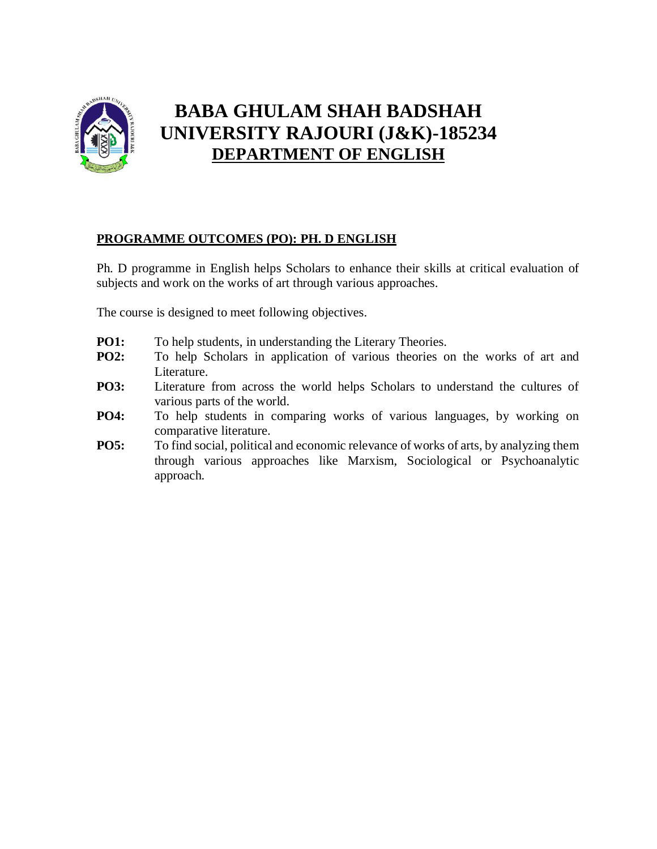

# **BABA GHULAM SHAH BADSHAH UNIVERSITY RAJOURI (J&K)-185234 DEPARTMENT OF ENGLISH**

## **PROGRAMME OUTCOMES (PO): PH. D ENGLISH**

Ph. D programme in English helps Scholars to enhance their skills at critical evaluation of subjects and work on the works of art through various approaches.

The course is designed to meet following objectives.

- **PO1:** To help students, in understanding the Literary Theories.
- **PO2:** To help Scholars in application of various theories on the works of art and Literature.
- **PO3:** Literature from across the world helps Scholars to understand the cultures of various parts of the world.
- **PO4:** To help students in comparing works of various languages, by working on comparative literature.
- **PO5:** To find social, political and economic relevance of works of arts, by analyzing them through various approaches like Marxism, Sociological or Psychoanalytic approach.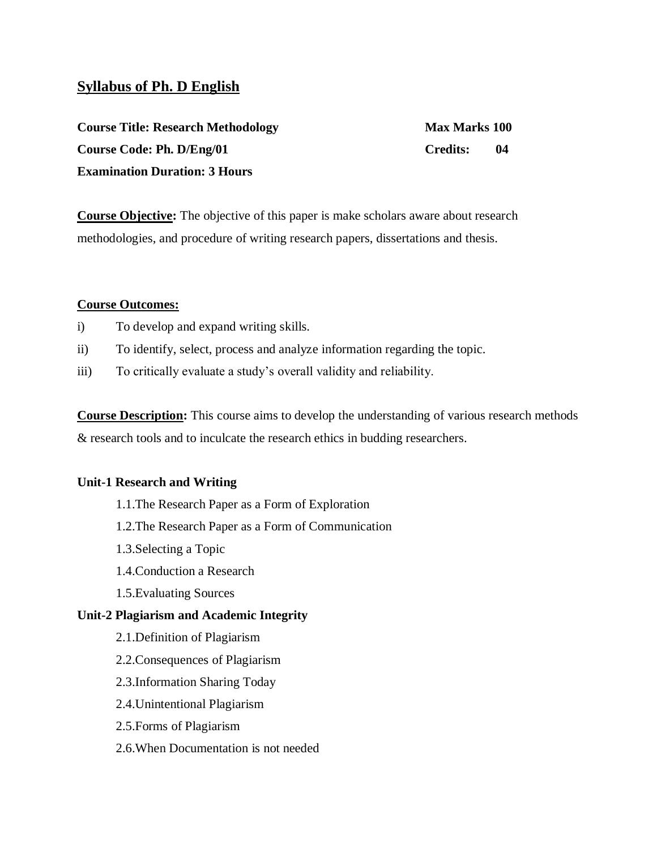# **Syllabus of Ph. D English**

| <b>Course Title: Research Methodology</b> | <b>Max Marks 100</b> |    |
|-------------------------------------------|----------------------|----|
| Course Code: Ph. D/Eng/01                 | <b>Credits:</b>      | 04 |
| <b>Examination Duration: 3 Hours</b>      |                      |    |

**Course Objective:** The objective of this paper is make scholars aware about research methodologies, and procedure of writing research papers, dissertations and thesis.

#### **Course Outcomes:**

- i) To develop and expand writing skills.
- ii) To identify, select, process and analyze information regarding the topic.
- iii) To critically evaluate a study's overall validity and reliability.

**Course Description:** This course aims to develop the understanding of various research methods & research tools and to inculcate the research ethics in budding researchers.

#### **Unit-1 Research and Writing**

- 1.1.The Research Paper as a Form of Exploration
- 1.2.The Research Paper as a Form of Communication
- 1.3.Selecting a Topic
- 1.4.Conduction a Research
- 1.5.Evaluating Sources

### **Unit-2 Plagiarism and Academic Integrity**

- 2.1.Definition of Plagiarism
- 2.2.Consequences of Plagiarism
- 2.3.Information Sharing Today
- 2.4.Unintentional Plagiarism
- 2.5.Forms of Plagiarism
- 2.6.When Documentation is not needed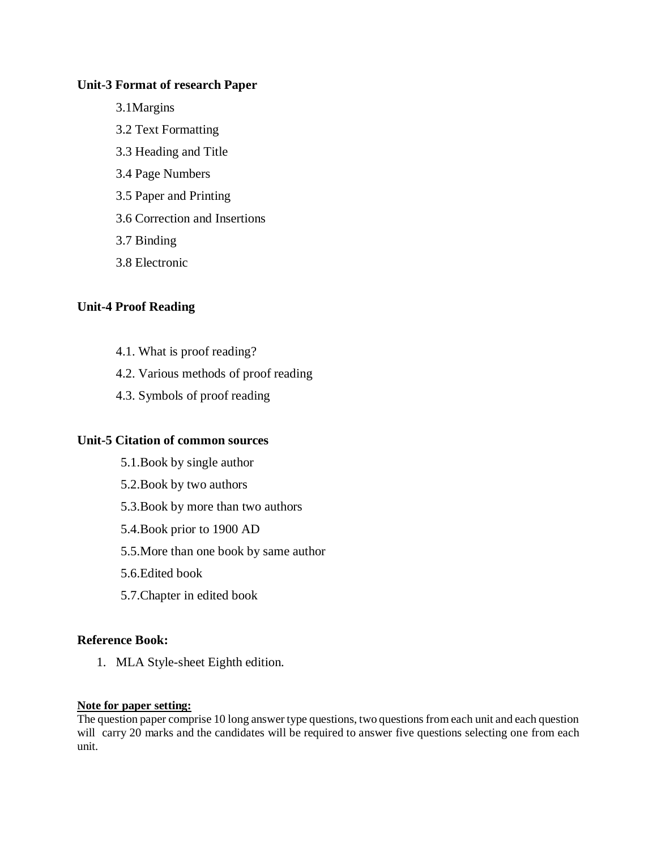#### **Unit-3 Format of research Paper**

- 3.1Margins
- 3.2 Text Formatting
- 3.3 Heading and Title
- 3.4 Page Numbers
- 3.5 Paper and Printing
- 3.6 Correction and Insertions
- 3.7 Binding
- 3.8 Electronic

#### **Unit-4 Proof Reading**

- 4.1. What is proof reading?
- 4.2. Various methods of proof reading
- 4.3. Symbols of proof reading

#### **Unit-5 Citation of common sources**

- 5.1.Book by single author
- 5.2.Book by two authors
- 5.3.Book by more than two authors
- 5.4.Book prior to 1900 AD
- 5.5.More than one book by same author
- 5.6.Edited book
- 5.7.Chapter in edited book

#### **Reference Book:**

1. MLA Style-sheet Eighth edition.

#### **Note for paper setting:**

The question paper comprise 10 long answer type questions, two questions from each unit and each question will carry 20 marks and the candidates will be required to answer five questions selecting one from each unit.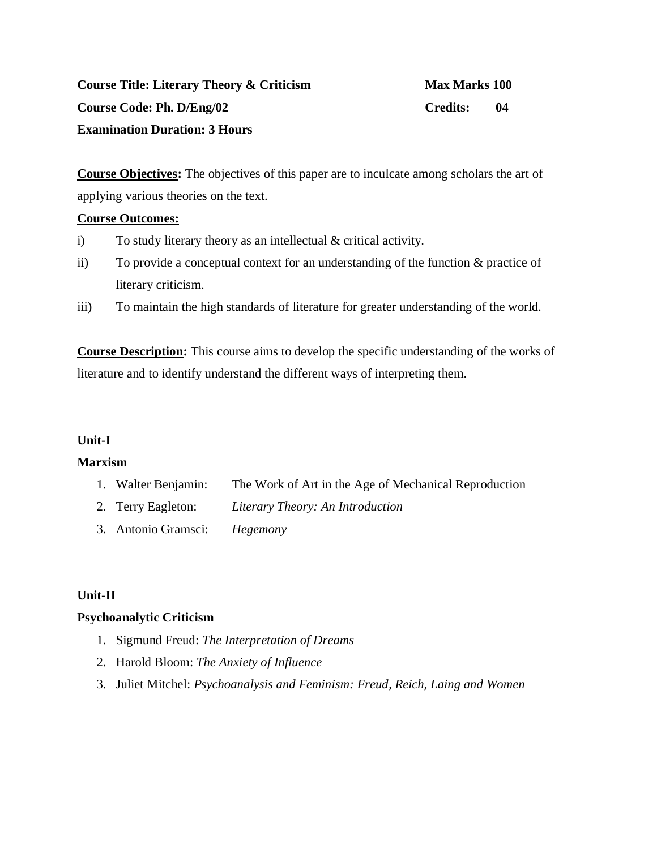# **Course Title: Literary Theory & Criticism Max Marks 100 Course Code: Ph. D/Eng/02 Credits: 04 Examination Duration: 3 Hours**

**Course Objectives:** The objectives of this paper are to inculcate among scholars the art of applying various theories on the text.

#### **Course Outcomes:**

- i) To study literary theory as an intellectual & critical activity.
- ii) To provide a conceptual context for an understanding of the function & practice of literary criticism.
- iii) To maintain the high standards of literature for greater understanding of the world.

**Course Description:** This course aims to develop the specific understanding of the works of literature and to identify understand the different ways of interpreting them.

### **Unit-I**

#### **Marxism**

- 1. Walter Benjamin: The Work of Art in the Age of Mechanical Reproduction
- 2. Terry Eagleton: *Literary Theory: An Introduction*
- 3. Antonio Gramsci: *Hegemony*

### **Unit-II**

#### **Psychoanalytic Criticism**

- 1. Sigmund Freud: *The Interpretation of Dreams*
- 2. Harold Bloom: *The Anxiety of Influence*
- 3. Juliet Mitchel: *Psychoanalysis and Feminism: Freud, Reich, Laing and Women*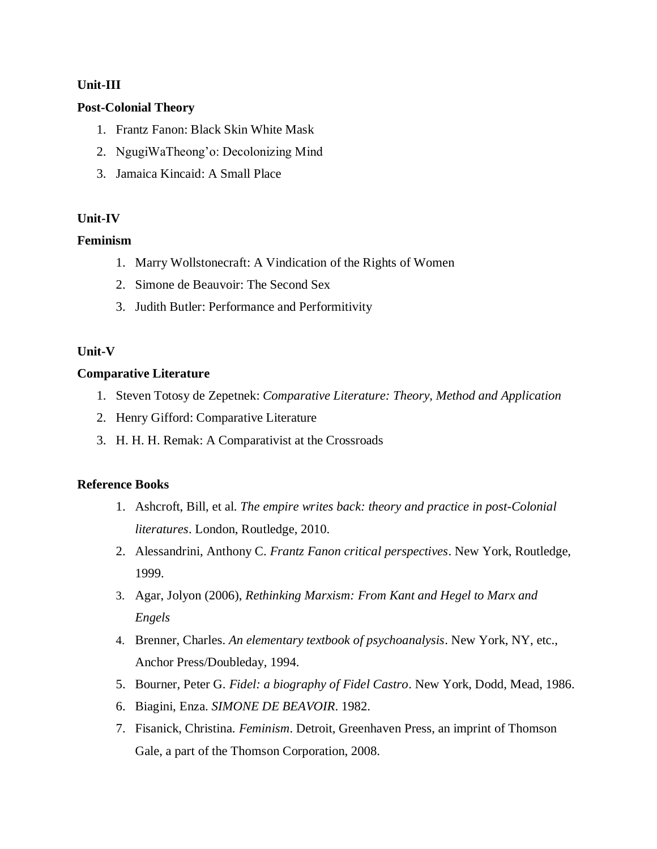#### **Unit-III**

#### **Post-Colonial Theory**

- 1. Frantz Fanon: Black Skin White Mask
- 2. NgugiWaTheong'o: Decolonizing Mind
- 3. Jamaica Kincaid: A Small Place

### **Unit-IV**

### **Feminism**

- 1. Marry Wollstonecraft: A Vindication of the Rights of Women
- 2. Simone de Beauvoir: The Second Sex
- 3. Judith Butler: Performance and Performitivity

### **Unit-V**

#### **Comparative Literature**

- 1. Steven Totosy de Zepetnek: *Comparative Literature: Theory, Method and Application*
- 2. Henry Gifford: Comparative Literature
- 3. H. H. H. Remak: A Comparativist at the Crossroads

### **Reference Books**

- 1. Ashcroft, Bill, et al. *The empire writes back: theory and practice in post-Colonial literatures*. London, Routledge, 2010.
- 2. Alessandrini, Anthony C. *Frantz Fanon critical perspectives*. New York, Routledge, 1999.
- 3. Agar, Jolyon (2006), *Rethinking Marxism: From Kant and Hegel to Marx and Engels*
- 4. Brenner, Charles. *An elementary textbook of psychoanalysis*. New York, NY, etc., Anchor Press/Doubleday, 1994.
- 5. Bourner, Peter G. *Fidel: a biography of Fidel Castro*. New York, Dodd, Mead, 1986.
- 6. Biagini, Enza. *SIMONE DE BEAVOIR*. 1982.
- 7. Fisanick, Christina. *Feminism*. Detroit, Greenhaven Press, an imprint of Thomson Gale, a part of the Thomson Corporation, 2008.